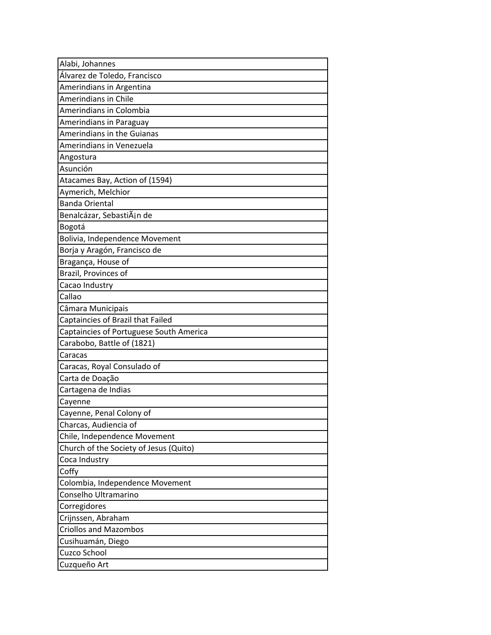| Alabi, Johannes                         |
|-----------------------------------------|
| Álvarez de Toledo, Francisco            |
| Amerindians in Argentina                |
| Amerindians in Chile                    |
| Amerindians in Colombia                 |
| Amerindians in Paraguay                 |
| <b>Amerindians in the Guianas</b>       |
| Amerindians in Venezuela                |
| Angostura                               |
| Asunción                                |
| Atacames Bay, Action of (1594)          |
| Aymerich, Melchior                      |
| <b>Banda Oriental</b>                   |
| Benalcázar, SebastiÃin de               |
| Bogotá                                  |
| Bolivia, Independence Movement          |
| Borja y Aragón, Francisco de            |
| Bragança, House of                      |
| Brazil, Provinces of                    |
| Cacao Industry                          |
| Callao                                  |
| Câmara Municipais                       |
| Captaincies of Brazil that Failed       |
| Captaincies of Portuguese South America |
| Carabobo, Battle of (1821)              |
| Caracas                                 |
| Caracas, Royal Consulado of             |
| Carta de Doação                         |
| Cartagena de Indias                     |
| Cayenne                                 |
| Cayenne, Penal Colony of                |
| Charcas, Audiencia of                   |
| Chile, Independence Movement            |
| Church of the Society of Jesus (Quito)  |
| Coca Industry                           |
| Coffy                                   |
| Colombia, Independence Movement         |
| Conselho Ultramarino                    |
| Corregidores                            |
| Crijnssen, Abraham                      |
| <b>Criollos and Mazombos</b>            |
| Cusihuamán, Diego                       |
| Cuzco School                            |
| Cuzqueño Art                            |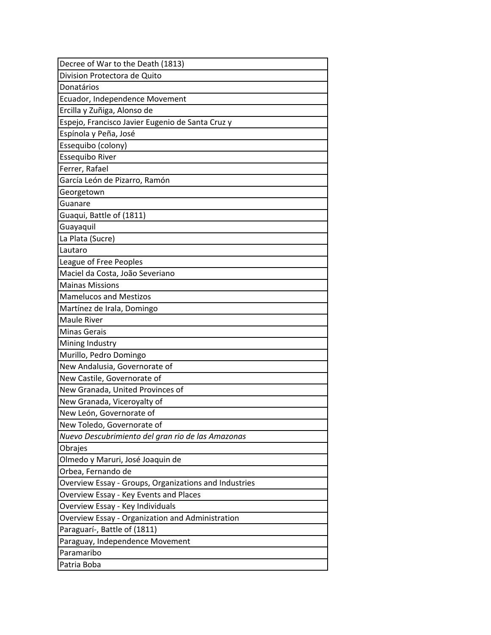| Decree of War to the Death (1813)                     |
|-------------------------------------------------------|
| Division Protectora de Quito                          |
| Donatários                                            |
| Ecuador, Independence Movement                        |
| Ercilla y Zuñiga, Alonso de                           |
| Espejo, Francisco Javier Eugenio de Santa Cruz y      |
| Espínola y Peña, José                                 |
| Essequibo (colony)                                    |
| <b>Essequibo River</b>                                |
| Ferrer, Rafael                                        |
| García León de Pizarro, Ramón                         |
| Georgetown                                            |
| Guanare                                               |
| Guaqui, Battle of (1811)                              |
| Guayaquil                                             |
| La Plata (Sucre)                                      |
| Lautaro                                               |
| League of Free Peoples                                |
| Maciel da Costa, João Severiano                       |
| <b>Mainas Missions</b>                                |
| <b>Mamelucos and Mestizos</b>                         |
| Martínez de Irala, Domingo                            |
| <b>Maule River</b>                                    |
| <b>Minas Gerais</b>                                   |
| Mining Industry                                       |
| Murillo, Pedro Domingo                                |
| New Andalusia, Governorate of                         |
| New Castile, Governorate of                           |
| New Granada, United Provinces of                      |
| New Granada, Viceroyalty of                           |
| New León, Governorate of                              |
| New Toledo, Governorate of                            |
| Nuevo Descubrimiento del gran rio de las Amazonas     |
| Obrajes                                               |
| Olmedo y Maruri, José Joaquin de                      |
| Orbea, Fernando de                                    |
| Overview Essay - Groups, Organizations and Industries |
| Overview Essay - Key Events and Places                |
| Overview Essay - Key Individuals                      |
| Overview Essay - Organization and Administration      |
| Paraguarí-, Battle of (1811)                          |
| Paraguay, Independence Movement                       |
| Paramaribo                                            |
| Patria Boba                                           |